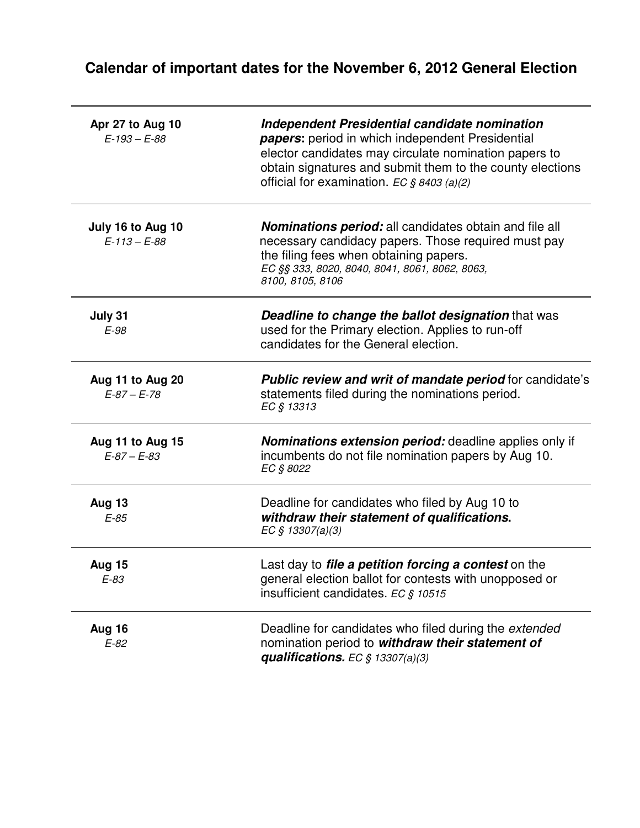## **Calendar of important dates for the November 6, 2012 General Election**

| Apr 27 to Aug 10<br>$E-193 - E-88$      | Independent Presidential candidate nomination<br>papers: period in which independent Presidential<br>elector candidates may circulate nomination papers to<br>obtain signatures and submit them to the county elections<br>official for examination. EC $$8403 (a)(2)$ |
|-----------------------------------------|------------------------------------------------------------------------------------------------------------------------------------------------------------------------------------------------------------------------------------------------------------------------|
| July 16 to Aug 10<br>$E - 113 - E - 88$ | <b>Nominations period:</b> all candidates obtain and file all<br>necessary candidacy papers. Those required must pay<br>the filing fees when obtaining papers.<br>EC §§ 333, 8020, 8040, 8041, 8061, 8062, 8063,<br>8100, 8105, 8106                                   |
| July 31<br>$E-98$                       | <b>Deadline to change the ballot designation that was</b><br>used for the Primary election. Applies to run-off<br>candidates for the General election.                                                                                                                 |
| Aug 11 to Aug 20<br>$E-87 - E-78$       | <b>Public review and writ of mandate period for candidate's</b><br>statements filed during the nominations period.<br>EC § 13313                                                                                                                                       |
| Aug 11 to Aug 15<br>$E-87 - E-83$       | <b>Nominations extension period:</b> deadline applies only if<br>incumbents do not file nomination papers by Aug 10.<br>EC § 8022                                                                                                                                      |
| <b>Aug 13</b><br>$E-85$                 | Deadline for candidates who filed by Aug 10 to<br>withdraw their statement of qualifications.<br>EC § 13307(a)(3)                                                                                                                                                      |
| <b>Aug 15</b><br>$E-83$                 | Last day to <i>file a petition forcing a contest</i> on the<br>general election ballot for contests with unopposed or<br>insufficient candidates. EC $$10515$                                                                                                          |
| Aug 16<br>$E-82$                        | Deadline for candidates who filed during the extended<br>nomination period to withdraw their statement of<br>qualifications. EC $§ 13307(a)(3)$                                                                                                                        |